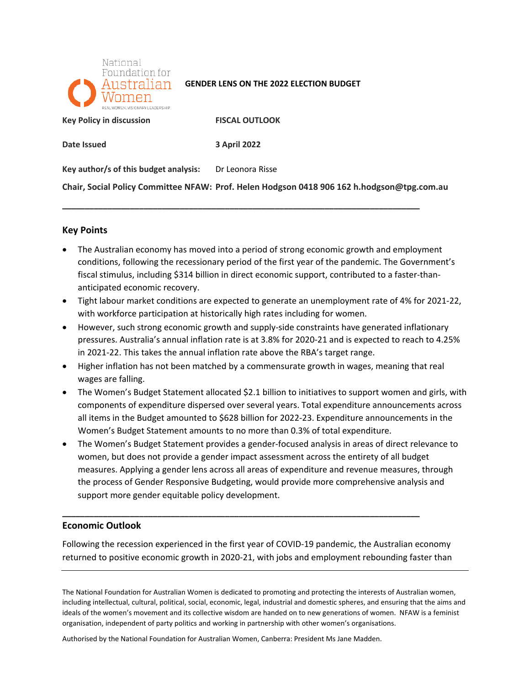

### **GENDER LENS ON THE 2022 ELECTION BUDGET**

**EXAMPLE REGISTS RESPONSION READS TO PROPER SEX POITLOOK** 

Date Issued

**Date Issued 3 April 2022** 

**\_\_\_\_\_\_\_\_\_\_\_\_\_\_\_\_\_\_\_\_\_\_\_\_\_\_\_\_\_\_\_\_\_\_\_\_\_\_\_\_\_\_\_\_\_\_\_\_\_\_\_\_\_\_\_\_\_\_\_\_\_\_\_\_\_\_\_\_\_\_\_\_\_\_\_\_\_\_\_** 

Key author/s of this budget analysis: Dr Leonora Risse

 **Chair, Social Policy Committee NFAW: Prof. Helen Hodgson 0418 906 162 [h.hodgson@tpg.com.au](mailto:h.hodgson@tpg.com.au)** 

## **Key Points**

- conditions, following the recessionary period of the first year of the pandemic. The Government's • The Australian economy has moved into a period of strong economic growth and employment fiscal stimulus, including \$314 billion in direct economic support, contributed to a faster-thananticipated economic recovery.
- Tight labour market conditions are expected to generate an unemployment rate of 4% for 2021-22, with workforce participation at historically high rates including for women.
- in 2021-22. This takes the annual inflation rate above the RBA's target range. • However, such strong economic growth and supply-side constraints have generated inflationary pressures. Australia's annual inflation rate is at 3.8% for 2020-21 and is expected to reach to 4.25%
- • Higher inflation has not been matched by a commensurate growth in wages, meaning that real wages are falling.
- The Women's Budget Statement allocated \$2.1 billion to initiatives to support women and girls, with components of expenditure dispersed over several years. Total expenditure announcements across all items in the Budget amounted to \$628 billion for 2022-23. Expenditure announcements in the Women's Budget Statement amounts to no more than 0.3% of total expenditure.
- • The Women's Budget Statement provides a gender-focused analysis in areas of direct relevance to the process of Gender Responsive Budgeting, would provide more comprehensive analysis and women, but does not provide a gender impact assessment across the entirety of all budget measures. Applying a gender lens across all areas of expenditure and revenue measures, through support more gender equitable policy development.

# **Economic Outlook**

 Following the recession experienced in the first year of COVID-19 pandemic, the Australian economy returned to positive economic growth in 2020-21, with jobs and employment rebounding faster than

**\_\_\_\_\_\_\_\_\_\_\_\_\_\_\_\_\_\_\_\_\_\_\_\_\_\_\_\_\_\_\_\_\_\_\_\_\_\_\_\_\_\_\_\_\_\_\_\_\_\_\_\_\_\_\_\_\_\_\_\_\_\_\_\_\_\_\_\_\_\_\_\_\_\_\_\_\_\_\_** 

The National Foundation for Australian Women is dedicated to promoting and protecting the interests of Australian women, including intellectual, cultural, political, social, economic, legal, industrial and domestic spheres, and ensuring that the aims and ideals of the women's movement and its collective wisdom are handed on to new generations of women. NFAW is a feminist organisation, independent of party politics and working in partnership with other women's organisations.

Authorised by the National Foundation for Australian Women, Canberra: President Ms Jane Madden.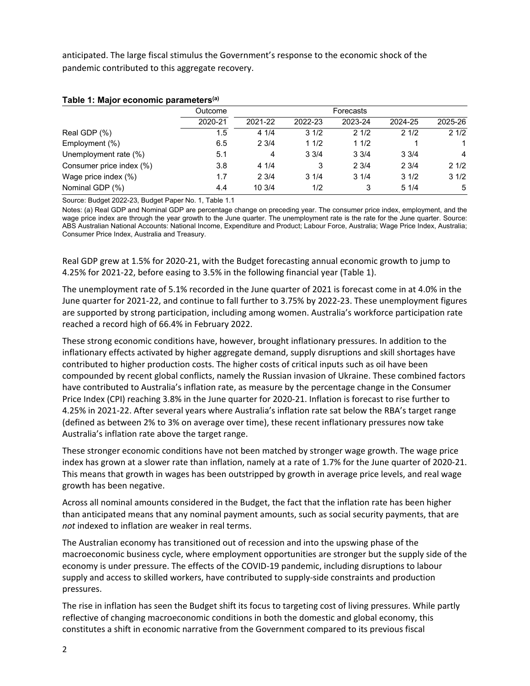anticipated. The large fiscal stimulus the Government's response to the economic shock of the pandemic contributed to this aggregate recovery.

|                          | Outcome | Forecasts |                 |         |         |         |  |
|--------------------------|---------|-----------|-----------------|---------|---------|---------|--|
|                          | 2020-21 | 2021-22   | 2022-23         | 2023-24 | 2024-25 | 2025-26 |  |
| Real GDP (%)             | 1.5     | 41/4      | 31/2            | 21/2    | 21/2    | 21/2    |  |
| Employment (%)           | 6.5     | 23/4      | 11/2            | 11/2    |         |         |  |
| Unemployment rate (%)    | 5.1     | 4         | $3 \frac{3}{4}$ | 33/4    | 33/4    | 4       |  |
| Consumer price index (%) | 3.8     | 41/4      | 3               | 23/4    | 23/4    | 21/2    |  |
| Wage price index (%)     | 1.7     | 23/4      | 31/4            | 31/4    | 31/2    | 31/2    |  |
| Nominal GDP (%)          | 4.4     | 10 3/4    | 1/2             | 3       | 51/4    | 5       |  |

## **Table 1: Major economic parameters(a)**

Source: Budget 2022-23, Budget Paper No. 1, Table 1.1

 wage price index are through the year growth to the June quarter. The unemployment rate is the rate for the June quarter. Source: Notes: (a) Real GDP and Nominal GDP are percentage change on preceding year. The consumer price index, employment, and the ABS Australian National Accounts: National Income, Expenditure and Product; Labour Force, Australia; Wage Price Index, Australia; Consumer Price Index, Australia and Treasury.

 Real GDP grew at 1.5% for 2020-21, with the Budget forecasting annual economic growth to jump to 4.25% for 2021-22, before easing to 3.5% in the following financial year (Table 1).

The unemployment rate of 5.1% recorded in the June quarter of 2021 is forecast come in at 4.0% in the June quarter for 2021-22, and continue to fall further to 3.75% by 2022-23. These unemployment figures are supported by strong participation, including among women. Australia's workforce participation rate reached a record high of 66.4% in February 2022.

 compounded by recent global conflicts, namely the Russian invasion of Ukraine. These combined factors have contributed to Australia's inflation rate, as measure by the percentage change in the Consumer Price Index (CPI) reaching 3.8% in the June quarter for 2020-21. Inflation is forecast to rise further to 4.25% in 2021-22. After several years where Australia's inflation rate sat below the RBA's target range These strong economic conditions have, however, brought inflationary pressures. In addition to the inflationary effects activated by higher aggregate demand, supply disruptions and skill shortages have contributed to higher production costs. The higher costs of critical inputs such as oil have been (defined as between 2% to 3% on average over time), these recent inflationary pressures now take Australia's inflation rate above the target range.

 These stronger economic conditions have not been matched by stronger wage growth. The wage price index has grown at a slower rate than inflation, namely at a rate of 1.7% for the June quarter of 2020-21. This means that growth in wages has been outstripped by growth in average price levels, and real wage growth has been negative.

 than anticipated means that any nominal payment amounts, such as social security payments, that are Across all nominal amounts considered in the Budget, the fact that the inflation rate has been higher *not* indexed to inflation are weaker in real terms.

 The Australian economy has transitioned out of recession and into the upswing phase of the macroeconomic business cycle, where employment opportunities are stronger but the supply side of the economy is under pressure. The effects of the COVID-19 pandemic, including disruptions to labour supply and access to skilled workers, have contributed to supply-side constraints and production pressures.

 reflective of changing macroeconomic conditions in both the domestic and global economy, this The rise in inflation has seen the Budget shift its focus to targeting cost of living pressures. While partly constitutes a shift in economic narrative from the Government compared to its previous fiscal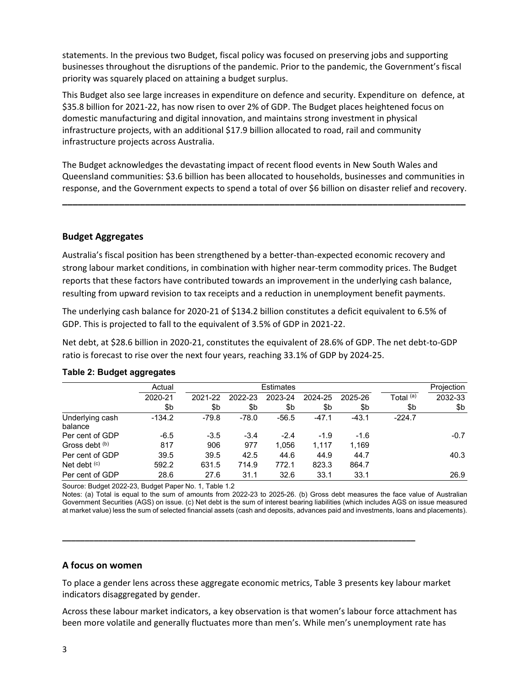statements. In the previous two Budget, fiscal policy was focused on preserving jobs and supporting businesses throughout the disruptions of the pandemic. Prior to the pandemic, the Government's fiscal priority was squarely placed on attaining a budget surplus.

 This Budget also see large increases in expenditure on defence and security. Expenditure on defence, at infrastructure projects, with an additional \$17.9 billion allocated to road, rail and community \$35.8 billion for 2021-22, has now risen to over 2% of GDP. The Budget places heightened focus on domestic manufacturing and digital innovation, and maintains strong investment in physical infrastructure projects across Australia.

 The Budget acknowledges the devastating impact of recent flood events in New South Wales and response, and the Government expects to spend a total of over \$6 billion on disaster relief and recovery. Queensland communities: \$3.6 billion has been allocated to households, businesses and communities in

**\_\_\_\_\_\_\_\_\_\_\_\_\_\_\_\_\_\_\_\_\_\_\_\_\_\_\_\_\_\_\_\_\_\_\_\_\_\_\_\_\_\_\_\_\_\_\_\_\_\_\_\_\_\_\_\_\_\_\_\_\_\_\_\_\_\_\_\_\_\_\_\_\_\_\_\_\_\_** 

# **Budget Aggregates**

Australia's fiscal position has been strengthened by a better-than-expected economic recovery and strong labour market conditions, in combination with higher near-term commodity prices. The Budget reports that these factors have contributed towards an improvement in the underlying cash balance, resulting from upward revision to tax receipts and a reduction in unemployment benefit payments.

GDP. This is projected to fall to the equivalent of 3.5% of GDP in 2021-22. The underlying cash balance for 2020-21 of \$134.2 billion constitutes a deficit equivalent to 6.5% of

 ratio is forecast to rise over the next four years, reaching 33.1% of GDP by 2024-25. Net debt, at \$28.6 billion in 2020-21, constitutes the equivalent of 28.6% of GDP. The net debt-to-GDP

|                            | Actual   | Estimates |         |         |         |         | Projection  |         |
|----------------------------|----------|-----------|---------|---------|---------|---------|-------------|---------|
|                            | 2020-21  | 2021-22   | 2022-23 | 2023-24 | 2024-25 | 2025-26 | Total $(a)$ | 2032-33 |
|                            | \$b      | \$b       | \$b     | \$b     | \$b     | \$b     | \$b         | \$b     |
| Underlying cash<br>balance | $-134.2$ | $-79.8$   | $-78.0$ | $-56.5$ | $-47.1$ | $-43.1$ | $-224.7$    |         |
| Per cent of GDP            | $-6.5$   | $-3.5$    | $-3.4$  | $-2.4$  | $-1.9$  | $-1.6$  |             | $-0.7$  |
| Gross debt (b)             | 817      | 906       | 977     | 1.056   | 1.117   | 1,169   |             |         |
| Per cent of GDP            | 39.5     | 39.5      | 42.5    | 44.6    | 44.9    | 44.7    |             | 40.3    |
| Net debt $(c)$             | 592.2    | 631.5     | 714.9   | 772.1   | 823.3   | 864.7   |             |         |
| Per cent of GDP            | 28.6     | 27.6      | 31.1    | 32.6    | 33.1    | 33.1    |             | 26.9    |

#### **Table 2: Budget aggregates**

Source: Budget 2022-23, Budget Paper No. 1, Table 1.2

 Notes: (a) Total is equal to the sum of amounts from 2022-23 to 2025-26. (b) Gross debt measures the face value of Australian Government Securities (AGS) on issue. (c) Net debt is the sum of interest bearing liabilities (which includes AGS on issue measured at market value) less the sum of selected financial assets (cash and deposits, advances paid and investments, loans and placements).

#### **A focus on women**

 To place a gender lens across these aggregate economic metrics, Table 3 presents key labour market indicators disaggregated by gender.

**\_\_\_\_\_\_\_\_\_\_\_\_\_\_\_\_\_\_\_\_\_\_\_\_\_\_\_\_\_\_\_\_\_\_\_\_\_\_\_\_\_\_\_\_\_\_\_\_\_\_\_\_\_\_\_\_\_\_\_\_\_\_\_\_\_\_\_\_\_\_\_\_\_\_\_\_\_\_** 

 been more volatile and generally fluctuates more than men's. While men's unemployment rate has Across these labour market indicators, a key observation is that women's labour force attachment has